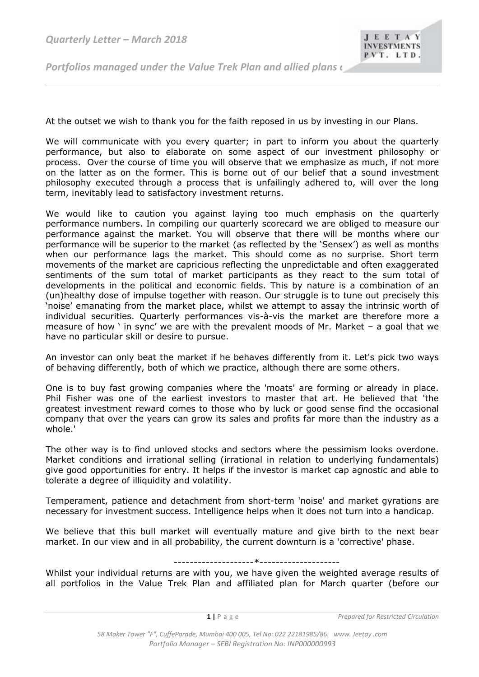*Quarterly Letter – March 2018* 

*Portfolios managed under the Value Trek Plan and allied plans*  $\iota$ 

At the outset we wish to thank you for the faith reposed in us by investing in our Plans.

We will communicate with you every quarter; in part to inform you about the quarterly performance, but also to elaborate on some aspect of our investment philosophy or process. Over the course of time you will observe that we emphasize as much, if not more on the latter as on the former. This is borne out of our belief that a sound investment philosophy executed through a process that is unfailingly adhered to, will over the long term, inevitably lead to satisfactory investment returns.

We would like to caution you against laying too much emphasis on the quarterly performance numbers. In compiling our quarterly scorecard we are obliged to measure our performance against the market. You will observe that there will be months where our performance will be superior to the market (as reflected by the 'Sensex') as well as months when our performance lags the market. This should come as no surprise. Short term movements of the market are capricious reflecting the unpredictable and often exaggerated sentiments of the sum total of market participants as they react to the sum total of developments in the political and economic fields. This by nature is a combination of an (un)healthy dose of impulse together with reason. Our struggle is to tune out precisely this 'noise' emanating from the market place, whilst we attempt to assay the intrinsic worth of individual securities. Quarterly performances vis-à-vis the market are therefore more a measure of how ' in sync' we are with the prevalent moods of Mr. Market – a goal that we have no particular skill or desire to pursue.

An investor can only beat the market if he behaves differently from it. Let's pick two ways of behaving differently, both of which we practice, although there are some others.

One is to buy fast growing companies where the 'moats' are forming or already in place. Phil Fisher was one of the earliest investors to master that art. He believed that 'the greatest investment reward comes to those who by luck or good sense find the occasional company that over the years can grow its sales and profits far more than the industry as a whole.'

The other way is to find unloved stocks and sectors where the pessimism looks overdone. Market conditions and irrational selling (irrational in relation to underlying fundamentals) give good opportunities for entry. It helps if the investor is market cap agnostic and able to tolerate a degree of illiquidity and volatility.

Temperament, patience and detachment from short-term 'noise' and market gyrations are necessary for investment success. Intelligence helps when it does not turn into a handicap.

We believe that this bull market will eventually mature and give birth to the next bear market. In our view and in all probability, the current downturn is a 'corrective' phase.

## --------------------\*--------------------

Whilst your individual returns are with you, we have given the weighted average results of all portfolios in the Value Trek Plan and affiliated plan for March quarter (before our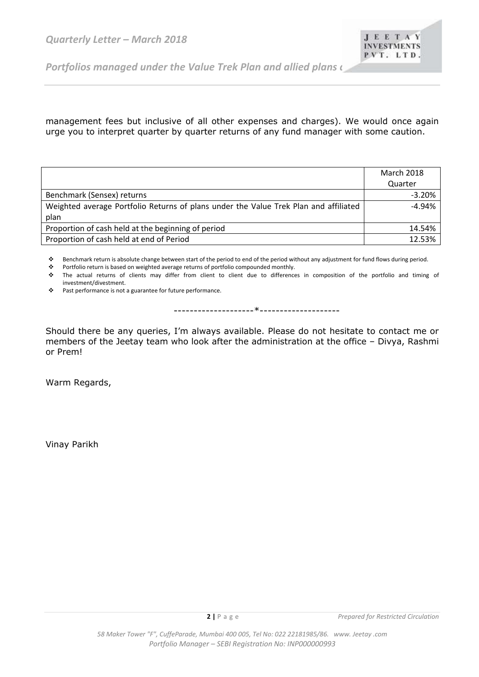*Portfolios managed under the Value Trek Plan and allied plans*  $\epsilon$ 

management fees but inclusive of all other expenses and charges). We would once again urge you to interpret quarter by quarter returns of any fund manager with some caution.

|                                                                                      | <b>March 2018</b> |
|--------------------------------------------------------------------------------------|-------------------|
|                                                                                      | Quarter           |
| Benchmark (Sensex) returns                                                           | $-3.20%$          |
| Weighted average Portfolio Returns of plans under the Value Trek Plan and affiliated | $-4.94%$          |
| plan                                                                                 |                   |
| Proportion of cash held at the beginning of period                                   | 14.54%            |
| Proportion of cash held at end of Period                                             | 12.53%            |

Benchmark return is absolute change between start of the period to end of the period without any adjustment for fund flows during period.

Portfolio return is based on weighted average returns of portfolio compounded monthly.

 The actual returns of clients may differ from client to client due to differences in composition of the portfolio and timing of investment/divestment.

\* Past performance is not a guarantee for future performance.

--------------------\*--------------------

Should there be any queries, I'm always available. Please do not hesitate to contact me or members of the Jeetay team who look after the administration at the office – Divya, Rashmi or Prem!

Warm Regards,

Vinay Parikh